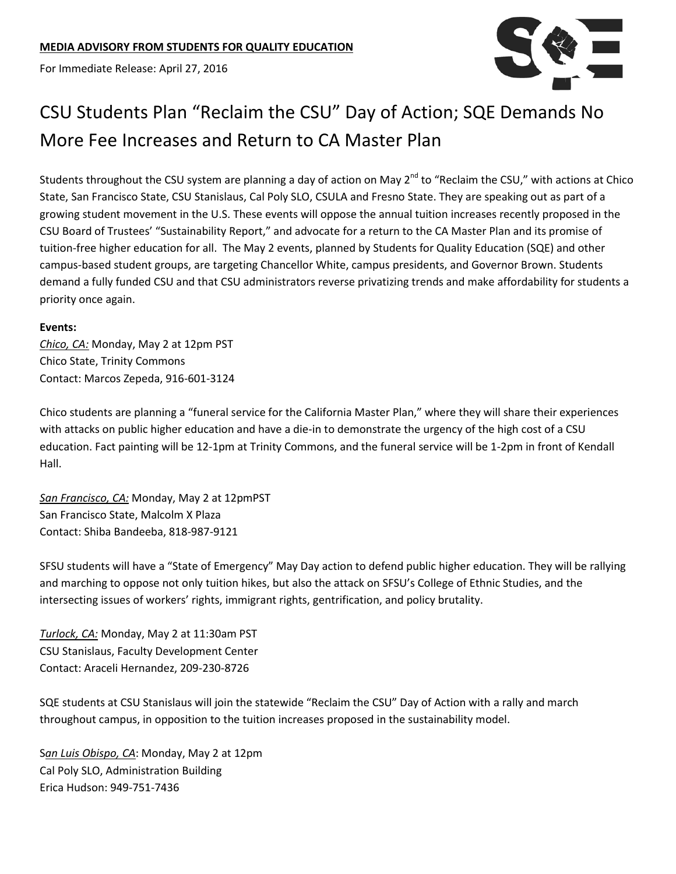For Immediate Release: April 27, 2016



## CSU Students Plan "Reclaim the CSU" Day of Action; SQE Demands No More Fee Increases and Return to CA Master Plan

Students throughout the CSU system are planning a day of action on May  $2^{nd}$  to "Reclaim the CSU," with actions at Chico State, San Francisco State, CSU Stanislaus, Cal Poly SLO, CSULA and Fresno State. They are speaking out as part of a growing student movement in the U.S. These events will oppose the annual tuition increases recently proposed in the CSU Board of Trustees' "Sustainability Report," and advocate for a return to the CA Master Plan and its promise of tuition-free higher education for all. The May 2 events, planned by Students for Quality Education (SQE) and other campus-based student groups, are targeting Chancellor White, campus presidents, and Governor Brown. Students demand a fully funded CSU and that CSU administrators reverse privatizing trends and make affordability for students a priority once again.

## **Events:**

*Chico, CA:* Monday, May 2 at 12pm PST Chico State, Trinity Commons Contact: Marcos Zepeda, 916-601-3124

Chico students are planning a "funeral service for the California Master Plan," where they will share their experiences with attacks on public higher education and have a die-in to demonstrate the urgency of the high cost of a CSU education. Fact painting will be 12-1pm at Trinity Commons, and the funeral service will be 1-2pm in front of Kendall Hall.

*San Francisco, CA:* Monday, May 2 at 12pmPST San Francisco State, Malcolm X Plaza Contact: Shiba Bandeeba, 818-987-9121

SFSU students will have a "State of Emergency" May Day action to defend public higher education. They will be rallying and marching to oppose not only tuition hikes, but also the attack on SFSU's College of Ethnic Studies, and the intersecting issues of workers' rights, immigrant rights, gentrification, and policy brutality.

*Turlock, CA:* Monday, May 2 at 11:30am PST CSU Stanislaus, Faculty Development Center Contact: Araceli Hernandez, 209-230-8726

SQE students at CSU Stanislaus will join the statewide "Reclaim the CSU" Day of Action with a rally and march throughout campus, in opposition to the tuition increases proposed in the sustainability model.

S*an Luis Obispo, CA*: Monday, May 2 at 12pm Cal Poly SLO, Administration Building Erica Hudson: 949-751-7436